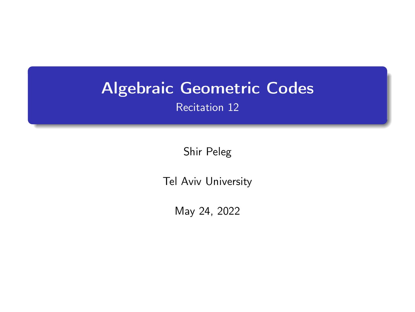# <span id="page-0-0"></span>Algebraic Geometric Codes

Recitation 12

Shir Peleg

Tel Aviv University

May 24, 2022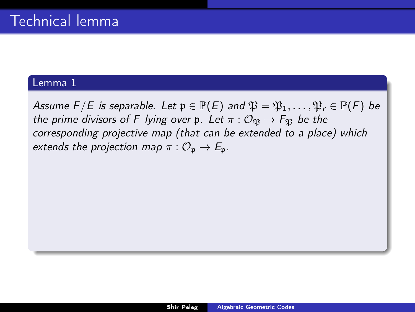<span id="page-1-0"></span>Assume  $F/E$  is separable. Let  $\mathfrak{p} \in \mathbb{P}(E)$  and  $\mathfrak{P} = \mathfrak{P}_1, \ldots, \mathfrak{P}_r \in \mathbb{P}(F)$  be the prime divisors of F lying over p. Let  $\pi : \mathcal{O}_{\mathfrak{B}} \to F_{\mathfrak{B}}$  be the corresponding projective map (that can be extended to a place) which extends the projection map  $\pi : \mathcal{O}_n \to \mathcal{E}_n$ .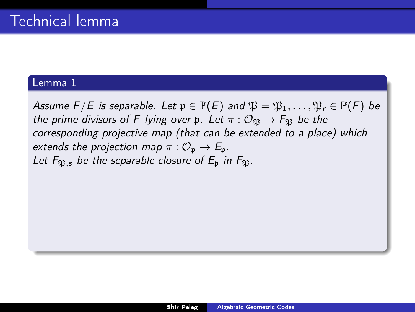Assume  $F/E$  is separable. Let  $\mathfrak{p} \in \mathbb{P}(E)$  and  $\mathfrak{P} = \mathfrak{P}_1, \ldots, \mathfrak{P}_r \in \mathbb{P}(F)$  be the prime divisors of F lying over p. Let  $\pi : \mathcal{O}_{\mathfrak{N}} \to F_{\mathfrak{N}}$  be the corresponding projective map (that can be extended to a place) which extends the projection map  $\pi : \mathcal{O}_{p} \to E_{p}$ . Let  $F_{\mathfrak{B},s}$  be the separable closure of  $E_{\mathfrak{p}}$  in  $F_{\mathfrak{B}}$ .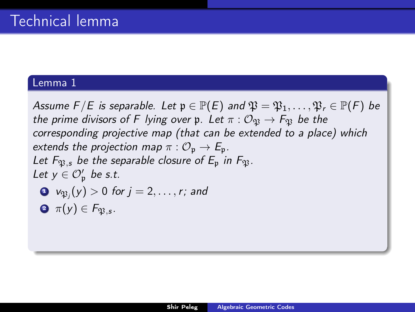Assume  $F/E$  is separable. Let  $\mathfrak{p} \in \mathbb{P}(E)$  and  $\mathfrak{P} = \mathfrak{P}_1, \ldots, \mathfrak{P}_r \in \mathbb{P}(F)$  be the prime divisors of F lying over p. Let  $\pi : \mathcal{O}_{\mathfrak{N}} \to F_{\mathfrak{N}}$  be the corresponding projective map (that can be extended to a place) which extends the projection map  $\pi : \mathcal{O}_{p} \to E_{p}$ . Let  $F_{\mathfrak{R}}$ , be the separable closure of  $E_{\mathfrak{p}}$  in  $F_{\mathfrak{R}}$ . Let  $y \in \mathcal{O}_p'$  be s.t.  $\hbox{\bf D}$   $\hbox{\bf v}_{\mathfrak{P}_j}(y)>0$  for  $j=2,\ldots,r;$  and

 $\mathbf{\Im} \; \pi(\mathsf{y}) \in \mathsf{F}_{\mathfrak{P},\mathsf{s}}.$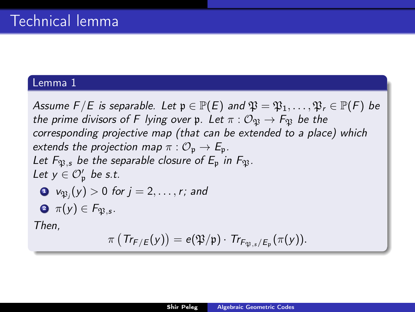Assume  $F/E$  is separable. Let  $\mathfrak{p} \in \mathbb{P}(E)$  and  $\mathfrak{P} = \mathfrak{P}_1, \ldots, \mathfrak{P}_r \in \mathbb{P}(F)$  be the prime divisors of F lying over p. Let  $\pi : \mathcal{O}_{\mathfrak{N}} \to F_{\mathfrak{N}}$  be the corresponding projective map (that can be extended to a place) which extends the projection map  $\pi : \mathcal{O}_{p} \to E_{p}$ . Let  $F_{\mathfrak{R}}$ , be the separable closure of  $E_{\mathfrak{p}}$  in  $F_{\mathfrak{R}}$ . Let  $y \in \mathcal{O}_p'$  be s.t.  $\hbox{\bf D}$   $\hbox{\bf v}_{\mathfrak{P}_j}(y)>0$  for  $j=2,\ldots,r;$  and  $\mathbf{\Im} \; \pi(\mathsf{y}) \in \mathsf{F}_{\mathfrak{P},\mathsf{s}}.$ Then,  $\pi\left(\mathsf{Tr}_{\mathsf{F}/\mathsf{E}}(y)\right) = \mathsf{e}(\mathfrak{P}/\mathfrak{p}) \cdot \mathsf{Tr}_{\mathsf{F}_{\mathfrak{P},\mathsf{s}}/\mathsf{E}_{\mathfrak{p}}}(\pi(y)).$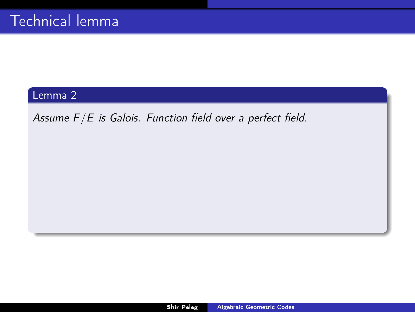<span id="page-5-0"></span>Assume  $F/E$  is Galois. Function field over a perfect field.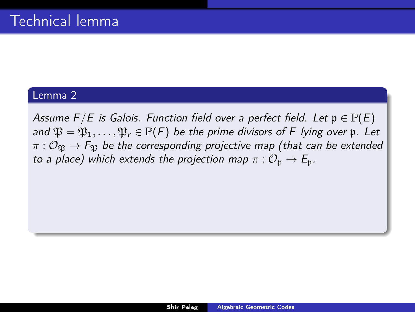Assume  $F/E$  is Galois. Function field over a perfect field. Let  $\mathfrak{p} \in \mathbb{P}(E)$ and  $\mathfrak{P} = \mathfrak{P}_1, \ldots, \mathfrak{P}_r \in \mathbb{P}(F)$  be the prime divisors of F lying over p. Let  $\pi$  :  $\mathcal{O}_{\mathfrak{B}} \to F_{\mathfrak{B}}$  be the corresponding projective map (that can be extended to a place) which extends the projection map  $\pi: \mathcal{O}_n \to \mathcal{E}_n$ .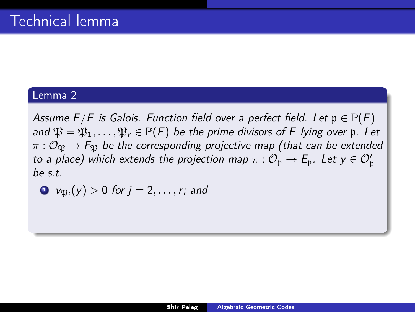Assume  $F/E$  is Galois. Function field over a perfect field. Let  $\mathfrak{p} \in \mathbb{P}(E)$ and  $\mathfrak{P} = \mathfrak{P}_1, \ldots, \mathfrak{P}_r \in \mathbb{P}(F)$  be the prime divisors of F lying over p. Let  $\pi$  :  $\mathcal{O}_{\mathfrak{B}} \to F_{\mathfrak{B}}$  be the corresponding projective map (that can be extended to a place) which extends the projection map  $\pi: \mathcal{O}_{\mathfrak{p}} \to E_{\mathfrak{p}}.$  Let  $y \in \mathcal{O}'_{\mathfrak{p}}$  $he$ st

$$
\bullet \ \ \mathsf{v}_{\mathfrak{P}_j}(y) > 0 \ \text{for} \ j = 2, \ldots, r; \ \text{and}
$$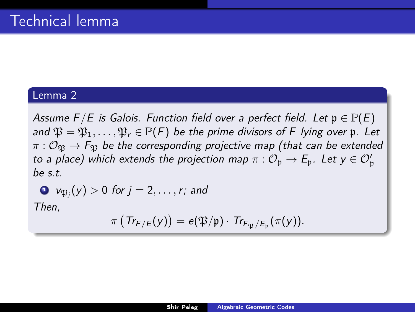Assume  $F/E$  is Galois. Function field over a perfect field. Let  $\mathfrak{p} \in \mathbb{P}(E)$ and  $\mathfrak{P} = \mathfrak{P}_1, \ldots, \mathfrak{P}_r \in \mathbb{P}(F)$  be the prime divisors of F lying over p. Let  $\pi : \mathcal{O}_\mathfrak{R} \to F_\mathfrak{R}$  be the corresponding projective map (that can be extended to a place) which extends the projection map  $\pi: \mathcal{O}_{\mathfrak{p}} \to E_{\mathfrak{p}}.$  Let  $y \in \mathcal{O}'_{\mathfrak{p}}$  $he$ st

$$
\bullet \ \ v_{\mathfrak{P}_j}(y) > 0 \ \text{for} \ j = 2, \ldots, r; \ \text{and}
$$

Then,

$$
\pi\left(\mathit{Tr}_{\mathsf{F}/\mathsf{E}}(y)\right)=e(\mathfrak{P}/\mathfrak{p})\cdot\mathit{Tr}_{\mathsf{F}_\mathfrak{P}/\mathsf{E}_\mathfrak{p}}(\pi(y)).
$$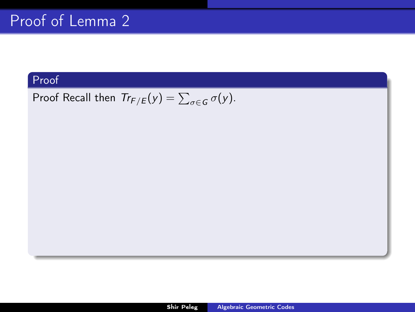## Proof Recall then  $Tr_{F/E}(y) = \sum_{\sigma \in G} \sigma(y)$ .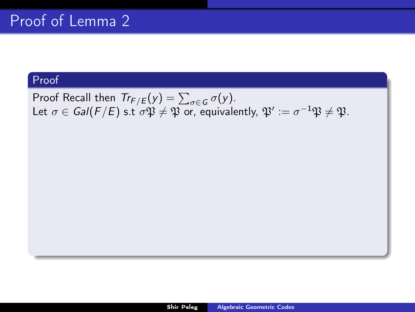Proof Recall then  $Tr_{F/E}(y) = \sum_{\sigma \in G} \sigma(y)$ . Let  $\sigma\in \mathit{Gal}(F/E)$  s.t  $\sigma\mathfrak{P}\neq \mathfrak{P}$  or, equivalently,  $\mathfrak{P}' := \sigma^{-1}\mathfrak{P}\neq \mathfrak{P}.$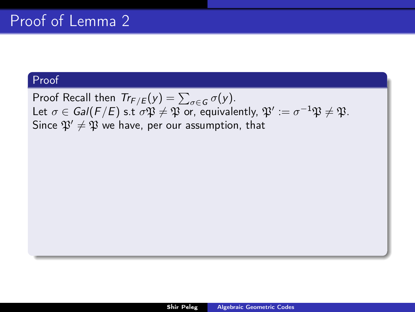Proof Recall then  $Tr_{F/E}(y) = \sum_{\sigma \in G} \sigma(y)$ . Let  $\sigma\in \mathit{Gal}(F/E)$  s.t  $\sigma\mathfrak{P}\neq \mathfrak{P}$  or, equivalently,  $\mathfrak{P}' := \sigma^{-1}\mathfrak{P}\neq \mathfrak{P}.$ Since  $\mathfrak{P}' \neq \mathfrak{P}$  we have, per our assumption, that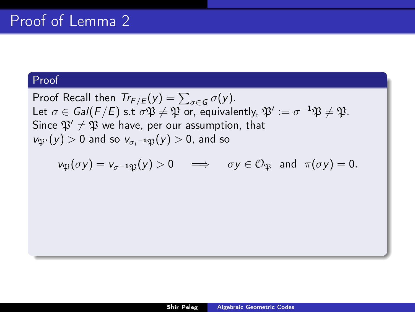Proof Recall then  $Tr_{F/E}(y) = \sum_{\sigma \in G} \sigma(y)$ . Let  $\sigma\in \mathit{Gal}(F/E)$  s.t  $\sigma\mathfrak{P}\neq \mathfrak{P}$  or, equivalently,  $\mathfrak{P}' := \sigma^{-1}\mathfrak{P}\neq \mathfrak{P}.$ Since  $\mathfrak{P}' \neq \mathfrak{P}$  we have, per our assumption, that  $v_{\mathfrak{P}'}(y) > 0$  and so  $v_{\sigma_i^{-1}\mathfrak{P}}(y) > 0$ , and so

$$
v_{\mathfrak{P}}(\sigma y) = v_{\sigma^{-1}\mathfrak{P}}(y) > 0 \quad \Longrightarrow \quad \sigma y \in \mathcal{O}_{\mathfrak{P}} \text{ and } \pi(\sigma y) = 0.
$$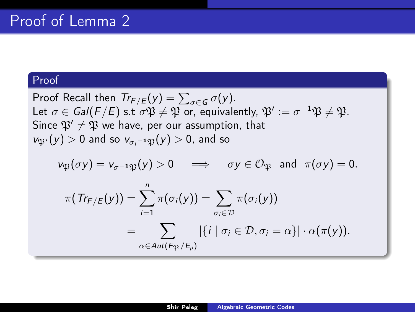Proof Recall then  $Tr_{F/E}(y) = \sum_{\sigma \in G} \sigma(y)$ . Let  $\sigma\in \mathit{Gal}(F/E)$  s.t  $\sigma\mathfrak{P}\neq \mathfrak{P}$  or, equivalently,  $\mathfrak{P}' := \sigma^{-1}\mathfrak{P}\neq \mathfrak{P}.$ Since  $\mathfrak{P}' \neq \mathfrak{P}$  we have, per our assumption, that  $v_{\mathfrak{P}'}(y) > 0$  and so  $v_{\sigma_i^{-1}\mathfrak{P}}(y) > 0$ , and so

$$
\nu_{\mathfrak{P}}(\sigma y) = \nu_{\sigma^{-1}\mathfrak{P}}(y) > 0 \quad \Longrightarrow \quad \sigma y \in \mathcal{O}_{\mathfrak{P}} \text{ and } \pi(\sigma y) = 0.
$$

$$
\pi(\mathit{Tr}_{F/E}(y)) = \sum_{i=1}^{n} \pi(\sigma_i(y)) = \sum_{\sigma_i \in \mathcal{D}} \pi(\sigma_i(y))
$$
  
= 
$$
\sum_{\alpha \in Aut(F_{\mathfrak{P}}/E_p)} |\{i \mid \sigma_i \in \mathcal{D}, \sigma_i = \alpha\}| \cdot \alpha(\pi(y)).
$$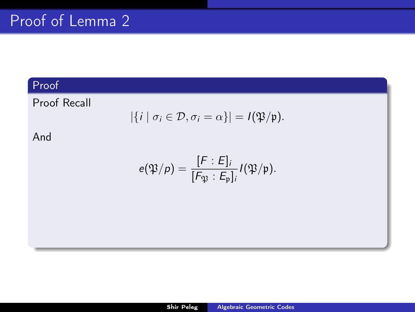Proof Recall

$$
|\{i \mid \sigma_i \in \mathcal{D}, \sigma_i = \alpha\}| = I(\mathfrak{P}/\mathfrak{p}).
$$

And

$$
e(\mathfrak{P}/p) = \frac{[F:E]_i}{[F_{\mathfrak{P}}:E_{\mathfrak{p}}]_i} I(\mathfrak{P}/\mathfrak{p}).
$$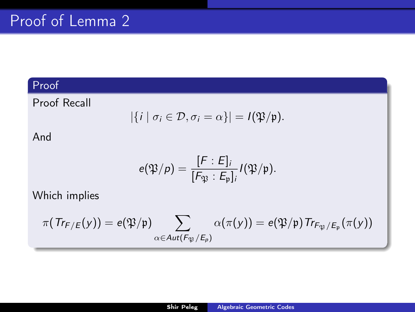Proof Recall

$$
|\{i \mid \sigma_i \in \mathcal{D}, \sigma_i = \alpha\}| = I(\mathfrak{P}/\mathfrak{p}).
$$

And

$$
e(\mathfrak{P}/p) = \frac{[F:E]_i}{[F_{\mathfrak{P}}:E_p]_i} I(\mathfrak{P}/\mathfrak{p}).
$$

Which implies

$$
\pi(\mathit{Tr}_{\digamma/\digamma}(y))=e(\mathfrak{P}/\mathfrak{p})\sum_{\alpha\in Aut(\digamma_{\mathfrak{P}}/\digamma_{\rho})}\alpha(\pi(y))=e(\mathfrak{P}/\mathfrak{p})\mathit{Tr}_{\digamma_{\mathfrak{P}}/\digamma_{\mathfrak{p}}}(\pi(y))
$$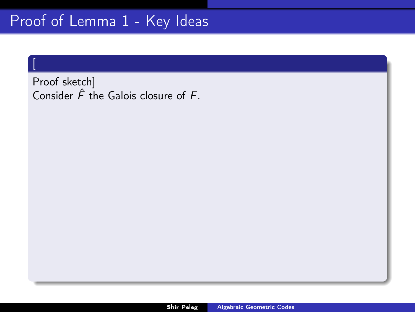[

Proof sketch] Consider  $\hat{F}$  the Galois closure of  $F$ .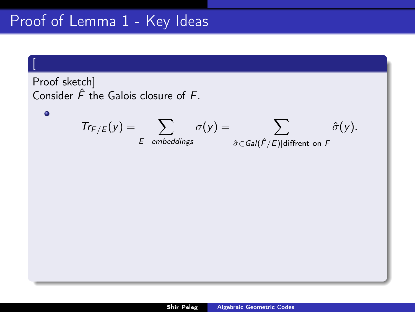# Proof of Lemma [1](#page-1-0) - Key Ideas

[

 $\bullet$ 

Proof sketch] Consider  $\hat{F}$  the Galois closure of  $F$ .

$$
Tr_{F/E}(y) = \sum_{E-embeddings} \sigma(y) = \sum_{\hat{\sigma} \in Gal(\hat{F}/E) | different on F} \hat{\sigma}(y).
$$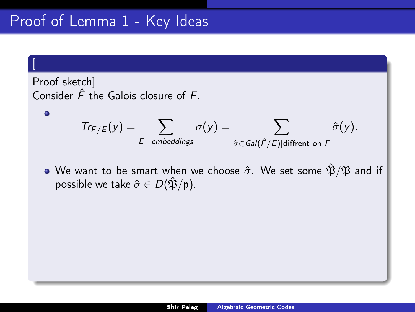[

 $\bullet$ 

Proof sketch] Consider  $\hat{F}$  the Galois closure of  $F$ .

$$
Tr_{F/E}(y) = \sum_{E-embeddings} \sigma(y) = \sum_{\hat{\sigma} \in Gal(\hat{F}/E) | different on F} \hat{\sigma}(y).
$$

• We want to be smart when we choose  $\hat{\sigma}$ . We set some  $\hat{\mathfrak{P}}/\mathfrak{P}$  and if possible we take  $\hat{\sigma} \in D(\hat{\mathfrak{P}}/\mathfrak{p})$ .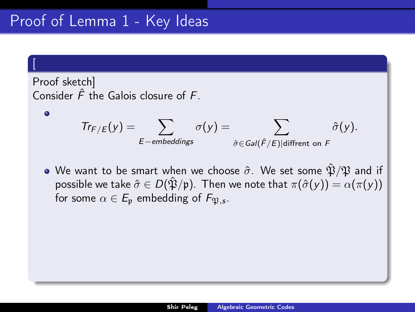[

 $\bullet$ 

Proof sketch] Consider  $\hat{F}$  the Galois closure of  $F$ .

$$
Tr_{F/E}(y) = \sum_{E-embeddings} \sigma(y) = \sum_{\hat{\sigma} \in Gal(\hat{F}/E) | \text{different on } F} \hat{\sigma}(y).
$$

• We want to be smart when we choose  $\hat{\sigma}$ . We set some  $\hat{\mathfrak{P}}/\mathfrak{P}$  and if possible we take  $\hat{\sigma} \in D(\hat{\mathfrak{P}}/\mathfrak{p})$ . Then we note that  $\pi(\hat{\sigma}(y)) = \alpha(\pi(y))$ for some  $\alpha\in E_\mathfrak{p}$  embedding of  $F_{\mathfrak{P},s}.$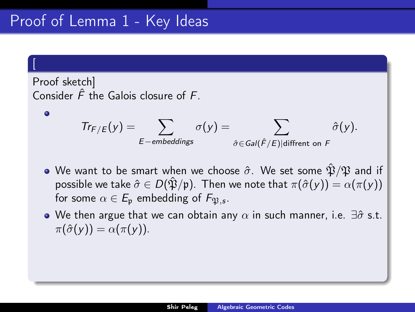[

 $\bullet$ 

Proof sketch] Consider  $\hat{F}$  the Galois closure of  $F$ .

$$
Tr_{F/E}(y) = \sum_{E-embeddings} \sigma(y) = \sum_{\hat{\sigma} \in Gal(\hat{F}/E) | \text{different on } F} \hat{\sigma}(y).
$$

- We want to be smart when we choose  $\hat{\sigma}$ . We set some  $\hat{\mathfrak{P}}/\mathfrak{P}$  and if possible we take  $\hat{\sigma} \in D(\hat{\mathfrak{P}}/\mathfrak{p})$ . Then we note that  $\pi(\hat{\sigma}(y)) = \alpha(\pi(y))$ for some  $\alpha\in E_\mathfrak{p}$  embedding of  $F_{\mathfrak{P},s}.$
- We then argue that we can obtain any  $\alpha$  in such manner, i.e.  $\exists \hat{\sigma}$  s.t.  $\pi(\hat{\sigma}(v)) = \alpha(\pi(v)).$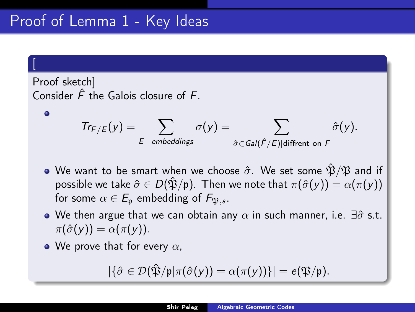# Proof of Lemma [1](#page-1-0) - Key Ideas

[

 $\bullet$ 

Proof sketch] Consider  $\hat{F}$  the Galois closure of  $F$ .

$$
Tr_{F/E}(y) = \sum_{E-embeddings} \sigma(y) = \sum_{\hat{\sigma} \in Gal(\hat{F}/E) | \text{different on } F} \hat{\sigma}(y).
$$

- We want to be smart when we choose  $\hat{\sigma}$ . We set some  $\hat{\mathfrak{P}}/\mathfrak{P}$  and if possible we take  $\hat{\sigma} \in D(\hat{\mathfrak{P}}/\mathfrak{p})$ . Then we note that  $\pi(\hat{\sigma}(y)) = \alpha(\pi(y))$ for some  $\alpha\in E_\mathfrak{p}$  embedding of  $F_{\mathfrak{P},s}.$
- We then argue that we can obtain any  $\alpha$  in such manner, i.e.  $\exists \hat{\sigma}$  s.t.  $\pi(\hat{\sigma}(v)) = \alpha(\pi(v)).$
- We prove that for every  $\alpha$ .

$$
|\{\hat{\sigma} \in \mathcal{D}(\hat{\mathfrak{P}}/\mathfrak{p} | \pi(\hat{\sigma}(y)) = \alpha(\pi(y))\}| = e(\mathfrak{P}/\mathfrak{p}).
$$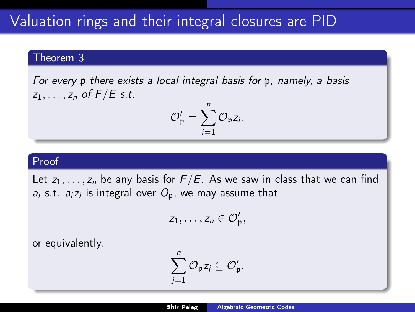#### Theorem 3

For every p there exists a local integral basis for p, namely, a basis  $z_1, \ldots, z_n$  of  $F/E$  s.t.

$$
\mathcal{O}_{\mathfrak{p}}'=\sum_{i=1}^n\mathcal{O}_{\mathfrak{p}}z_i.
$$

### Proof

Let  $z_1, \ldots, z_n$  be any basis for  $F/E$ . As we saw in class that we can find  $a_i$  s.t.  $a_i z_i$  is integral over  $O_\mathfrak{p}$ , we may assume that

$$
z_1,\ldots,z_n\in \mathcal{O}'_{\mathfrak{p}},
$$

or equivalently,

$$
\sum_{j=1}^n \mathcal{O}_\mathfrak{p} z_j \subseteq \mathcal{O}'_\mathfrak{p}.
$$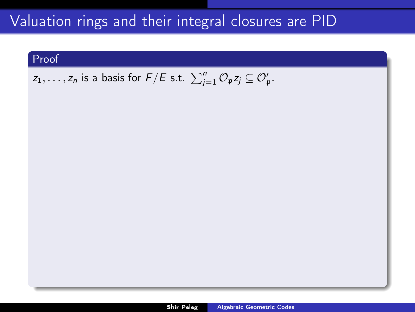### Proof

## $z_1,\ldots,z_n$  is a basis for  $F/E$  s.t.  $\sum_{j=1}^n {\mathcal{O}}_{\mathfrak{p}} z_j \subseteq {\mathcal{O}}'_{\mathfrak{p}}.$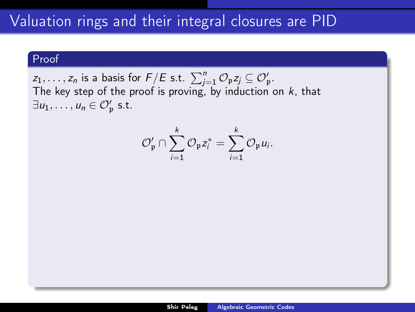### Proof

 $z_1, \ldots, z_n$  is a basis for  $F/E$  s.t.  $\sum_{j=1}^n \mathcal{O}_\mathfrak{p} z_j \subseteq \mathcal{O}'_\mathfrak{p}$ . The key step of the proof is proving, by induction on  $k$ , that  $\exists u_1, \ldots, u_n \in \mathcal{O}'_{\mathfrak{p}}$  s.t.

$$
\mathcal{O}_{\mathfrak{p}}' \cap \sum_{i=1}^k \mathcal{O}_{\mathfrak{p}} z_i^* = \sum_{i=1}^k \mathcal{O}_{\mathfrak{p}} u_i.
$$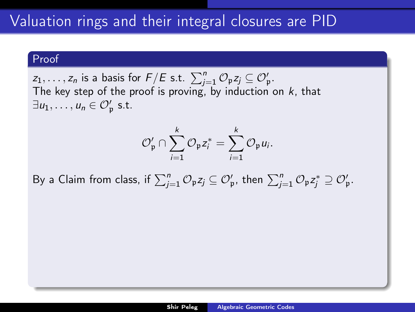### Proof

 $z_1, \ldots, z_n$  is a basis for  $F/E$  s.t.  $\sum_{j=1}^n \mathcal{O}_\mathfrak{p} z_j \subseteq \mathcal{O}'_\mathfrak{p}$ . The key step of the proof is proving, by induction on  $k$ , that  $\exists u_1, \ldots, u_n \in \mathcal{O}'_{\mathfrak{p}}$  s.t.

$$
\mathcal{O}_{\mathfrak{p}}' \cap \sum_{i=1}^k \mathcal{O}_{\mathfrak{p}} z_i^* = \sum_{i=1}^k \mathcal{O}_{\mathfrak{p}} u_i.
$$

By a Claim from class, if  $\sum_{j=1}^n \mathcal{O}_\mathfrak{p} z_j \subseteq \mathcal{O}'_\mathfrak{p}$ , then  $\sum_{j=1}^n \mathcal{O}_\mathfrak{p} z_j^* \supseteq \mathcal{O}'_\mathfrak{p}$ .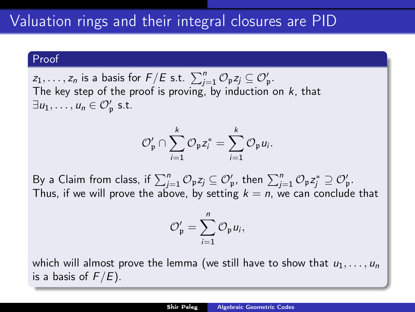$z_1, \ldots, z_n$  is a basis for  $F/E$  s.t.  $\sum_{j=1}^n \mathcal{O}_\mathfrak{p} z_j \subseteq \mathcal{O}'_\mathfrak{p}$ . The key step of the proof is proving, by induction on  $k$ , that  $\exists u_1, \ldots, u_n \in \mathcal{O}'_{\mathfrak{p}}$  s.t.

$$
\mathcal{O}_{\mathfrak{p}}' \cap \sum_{i=1}^k \mathcal{O}_{\mathfrak{p}} z_i^* = \sum_{i=1}^k \mathcal{O}_{\mathfrak{p}} u_i.
$$

By a Claim from class, if  $\sum_{j=1}^n \mathcal{O}_\mathfrak{p} z_j \subseteq \mathcal{O}'_\mathfrak{p}$ , then  $\sum_{j=1}^n \mathcal{O}_\mathfrak{p} z_j^* \supseteq \mathcal{O}'_\mathfrak{p}$ . Thus, if we will prove the above, by setting  $k = n$ , we can conclude that

$$
\mathcal{O}_{\mathfrak{p}}'=\sum_{i=1}^n \mathcal{O}_{\mathfrak{p}} u_i,
$$

which will almost prove the lemma (we still have to show that  $u_1, \ldots, u_n$ is a basis of  $F/E$ ).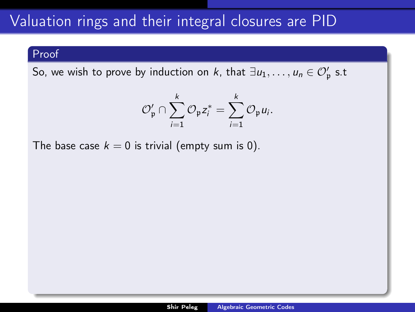### Proof

So, we wish to prove by induction on k, that  $\exists u_1, \ldots, u_n \in \mathcal{O}'_\mathfrak{p}$  s.t

$$
\mathcal{O}_\mathfrak{p}' \cap \sum_{i=1}^k \mathcal{O}_\mathfrak{p} z_i^* = \sum_{i=1}^k \mathcal{O}_\mathfrak{p} u_i.
$$

The base case  $k = 0$  is trivial (empty sum is 0).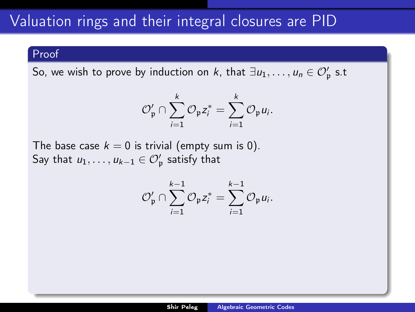So, we wish to prove by induction on k, that  $\exists u_1, \ldots, u_n \in \mathcal{O}'_\mathfrak{p}$  s.t

$$
\mathcal{O}_{\mathfrak{p}}' \cap \sum_{i=1}^k \mathcal{O}_{\mathfrak{p}} z_i^* = \sum_{i=1}^k \mathcal{O}_{\mathfrak{p}} u_i.
$$

The base case  $k = 0$  is trivial (empty sum is 0). Say that  $u_1,\ldots,u_{k-1}\in\mathcal O_\mathfrak p'$  satisfy that

$$
\mathcal{O}'_{\mathfrak{p}} \cap \sum_{i=1}^{k-1} \mathcal{O}_{\mathfrak{p}} z_i^* = \sum_{i=1}^{k-1} \mathcal{O}_{\mathfrak{p}} u_i.
$$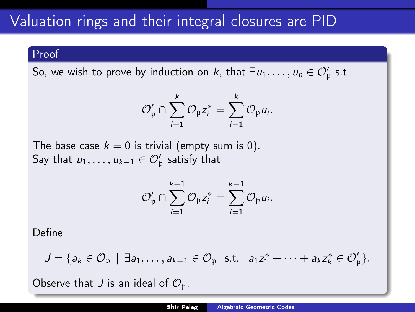So, we wish to prove by induction on k, that  $\exists u_1, \ldots, u_n \in \mathcal{O}'_\mathfrak{p}$  s.t

$$
\mathcal{O}_{\mathfrak{p}}' \cap \sum_{i=1}^k \mathcal{O}_{\mathfrak{p}} z_i^* = \sum_{i=1}^k \mathcal{O}_{\mathfrak{p}} u_i.
$$

The base case  $k = 0$  is trivial (empty sum is 0). Say that  $u_1,\ldots,u_{k-1}\in\mathcal O_\mathfrak p'$  satisfy that

$$
\mathcal{O}_{\mathfrak{p}}' \cap \sum_{i=1}^{k-1} \mathcal{O}_{\mathfrak{p}} z_i^* = \sum_{i=1}^{k-1} \mathcal{O}_{\mathfrak{p}} u_i.
$$

Define

$$
J = \{a_k \in \mathcal{O}_\mathfrak{p} \mid \exists a_1, \ldots, a_{k-1} \in \mathcal{O}_\mathfrak{p} \text{ s.t. } a_1 z_1^* + \cdots + a_k z_k^* \in \mathcal{O}'_\mathfrak{p} \}.
$$

Observe that J is an ideal of  $\mathcal{O}_{p}$ .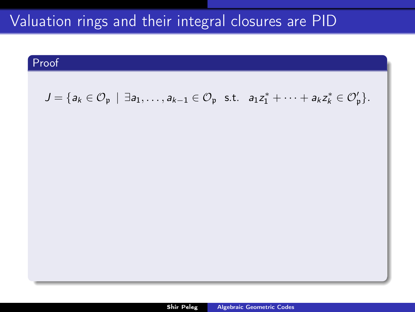### Proof

$$
J = \{a_k \in \mathcal{O}_\mathfrak{p} \mid \exists a_1, \ldots, a_{k-1} \in \mathcal{O}_\mathfrak{p} \text{ s.t. } a_1 z_1^* + \cdots + a_k z_k^* \in \mathcal{O}'_\mathfrak{p} \}.
$$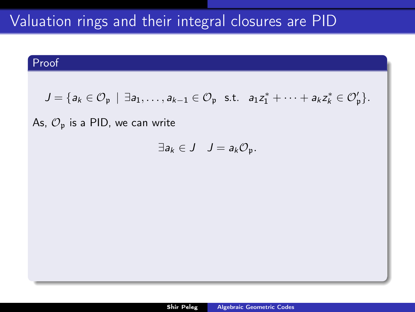## Proof

$$
J = \{a_k \in \mathcal{O}_\mathfrak{p} \mid \exists a_1, \ldots, a_{k-1} \in \mathcal{O}_\mathfrak{p} \text{ s.t. } a_1 z_1^* + \cdots + a_k z_k^* \in \mathcal{O}'_\mathfrak{p} \}.
$$

### As,  $\mathcal{O}_p$  is a PID, we can write

$$
\exists a_k \in J \quad J = a_k \mathcal{O}_{\mathfrak{p}}.
$$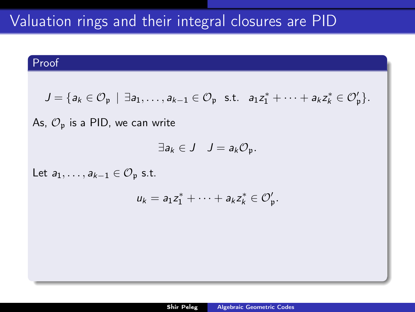## Proof

$$
J = \{a_k \in \mathcal{O}_\mathfrak{p} \mid \exists a_1, \ldots, a_{k-1} \in \mathcal{O}_\mathfrak{p} \text{ s.t. } a_1 z_1^* + \cdots + a_k z_k^* \in \mathcal{O}'_\mathfrak{p} \}.
$$

As,  $\mathcal{O}_p$  is a PID, we can write

$$
\exists a_k \in J \quad J = a_k \mathcal{O}_{\mathfrak{p}}.
$$

Let  $a_1, \ldots, a_{k-1} \in \mathcal{O}_n$  s.t.

$$
u_k=a_1z_1^*+\cdots+a_kz_k^*\in\mathcal{O}'_{\mathfrak{p}}.
$$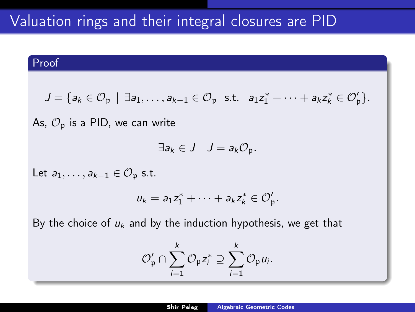### Proof

$$
J = \{a_k \in \mathcal{O}_\mathfrak{p} \mid \exists a_1, \ldots, a_{k-1} \in \mathcal{O}_\mathfrak{p} \text{ s.t. } a_1 z_1^* + \cdots + a_k z_k^* \in \mathcal{O}'_\mathfrak{p} \}.
$$

As,  $\mathcal{O}_p$  is a PID, we can write

$$
\exists a_k \in J \quad J = a_k \mathcal{O}_{\mathfrak{p}}.
$$

Let  $a_1, \ldots, a_{k-1} \in \mathcal{O}_n$  s.t.

$$
u_k=a_1z_1^*+\cdots+a_kz_k^*\in\mathcal{O}_\mathfrak{p}'.
$$

By the choice of  $u_k$  and by the induction hypothesis, we get that

$$
\mathcal{O}_\mathfrak{p}'\cap \sum_{i=1}^k \mathcal{O}_\mathfrak{p} z_i^* \supseteq \sum_{i=1}^k \mathcal{O}_\mathfrak{p} u_i.
$$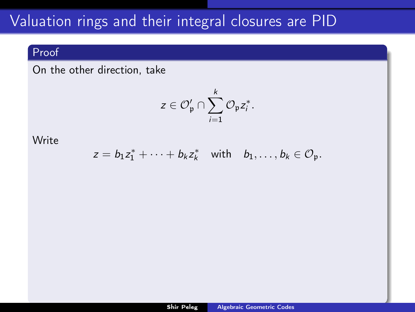## Proof

On the other direction, take

$$
z\in \mathcal{O}_\mathfrak{p}'\cap \sum_{i=1}^k \mathcal{O}_\mathfrak{p} z_i^*.
$$

### Write

$$
z = b_1 z_1^* + \cdots + b_k z_k^* \quad \text{with} \quad b_1, \ldots, b_k \in \mathcal{O}_{\mathfrak{p}}.
$$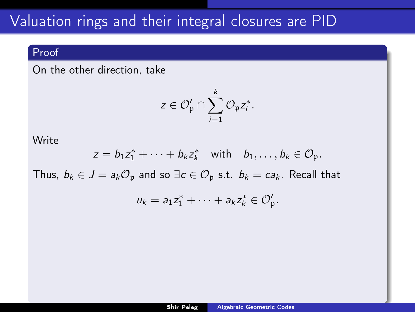### Proof

On the other direction, take

$$
z\in \mathcal{O}_\mathfrak{p}'\cap \sum_{i=1}^k \mathcal{O}_\mathfrak{p} z_i^*.
$$

### **Write**

$$
z=b_1z_1^*+\cdots+b_kz_k^* \quad \text{with} \quad b_1,\ldots,b_k\in \mathcal{O}_{\mathfrak{p}}.
$$

Thus,  $b_k \in J = a_k \mathcal{O}_p$  and so  $\exists c \in \mathcal{O}_p$  s.t.  $b_k = ca_k$ . Recall that

$$
u_k=a_1z_1^*+\cdots+a_kz_k^*\in\mathcal{O}_\mathfrak{p}'.
$$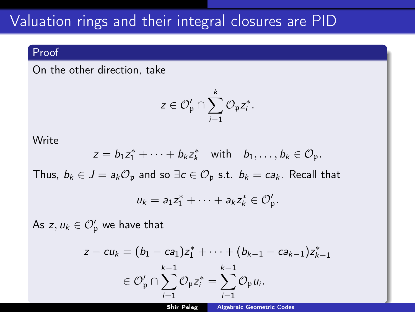### Proof

On the other direction, take

$$
z\in \mathcal{O}_\mathfrak{p}'\cap \sum_{i=1}^k \mathcal{O}_\mathfrak{p} z_i^*.
$$

#### **Write**

$$
z=b_1z_1^*+\cdots+b_kz_k^* \quad \text{with} \quad b_1,\ldots,b_k\in \mathcal{O}_{\mathfrak{p}}.
$$

Thus,  $b_k \in J = a_k \mathcal{O}_p$  and so  $\exists c \in \mathcal{O}_p$  s.t.  $b_k = ca_k$ . Recall that

$$
u_k=a_1z_1^*+\cdots+a_kz_k^*\in\mathcal{O}_\mathfrak{p}'.
$$

As  $z, u_k \in \mathcal{O}'_{\mathfrak{p}}$  we have that

$$
z-cu_{k}=(b_{1}-ca_{1})z_{1}^{*}+\cdots+(b_{k-1}-ca_{k-1})z_{k-1}^{*}
$$
  

$$
\in \mathcal{O}'_{\mathfrak{p}} \cap \sum_{i=1}^{k-1} \mathcal{O}_{\mathfrak{p}}z_{i}^{*}=\sum_{i=1}^{k-1} \mathcal{O}_{\mathfrak{p}}u_{i}.
$$

Shir Peleg [Algebraic Geometric Codes](#page-0-0)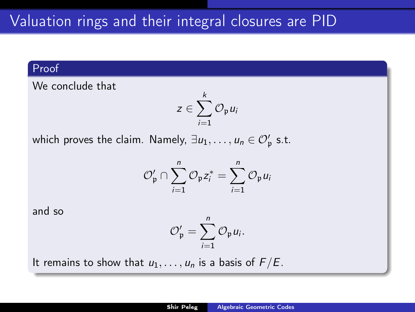We conclude that

$$
z\in \sum_{i=1}^k \mathcal{O}_{\mathfrak{p}} u_i
$$

which proves the claim. Namely,  $\exists u_1, \ldots, u_n \in \mathcal{O}'_\mathfrak{p}$  s.t.

$$
\mathcal{O}_{\mathfrak{p}}' \cap \sum_{i=1}^n \mathcal{O}_{\mathfrak{p}} z_i^* = \sum_{i=1}^n \mathcal{O}_{\mathfrak{p}} u_i
$$

and so

$$
\mathcal{O}_{\mathfrak{p}}'=\sum_{i=1}^n\mathcal{O}_{\mathfrak{p}}u_i.
$$

It remains to show that  $u_1, \ldots, u_n$  is a basis of  $F/E$ .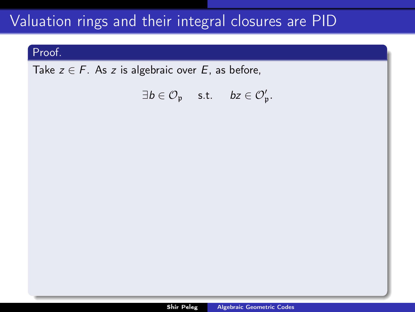### Proof.

Take  $z \in F$ . As z is algebraic over E, as before,

 $\exists b \in \mathcal{O}_{\mathfrak{p}} \quad \text{ s.t. } \quad bz \in \mathcal{O}_{\mathfrak{p}}'.$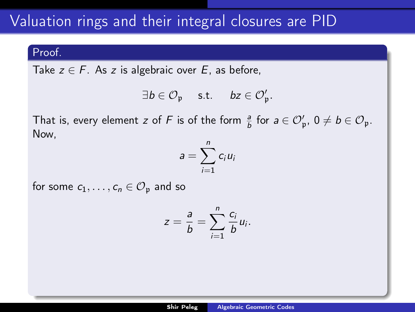#### Proof.

Take  $z \in F$ . As z is algebraic over E, as before,

$$
\exists b\in \mathcal{O}_{\mathfrak{p}}\quad \text{ s.t. }\quad \textit{bz}\in \mathcal{O}_{\mathfrak{p}}'.
$$

That is, every element z of F is of the form  $\frac{a}{b}$  for  $a \in \mathcal{O}'_p$ ,  $0 \neq b \in \mathcal{O}_p$ . Now,

$$
a=\sum_{i=1}^n c_i u_i
$$

for some  $c_1, \ldots, c_n \in \mathcal{O}_p$  and so

$$
z=\frac{a}{b}=\sum_{i=1}^n\frac{c_i}{b}u_i.
$$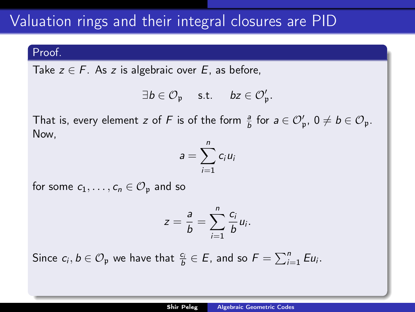#### Proof.

Take  $z \in F$ . As z is algebraic over E, as before,

$$
\exists \textbf{b} \in \mathcal{O}_{\mathfrak{p}} \quad \text{ s.t. } \quad \textbf{b} z \in \mathcal{O}_{\mathfrak{p}}'.
$$

That is, every element z of F is of the form  $\frac{a}{b}$  for  $a \in \mathcal{O}'_p$ ,  $0 \neq b \in \mathcal{O}_p$ . Now,

$$
a=\sum_{i=1}^n c_i u_i
$$

for some  $c_1, \ldots, c_n \in \mathcal{O}_p$  and so

$$
z=\frac{a}{b}=\sum_{i=1}^n\frac{c_i}{b}u_i.
$$

Since  $c_i, b \in \mathcal{O}_{\mathfrak{p}}$  we have that  $\frac{c_i}{b} \in E$ , and so  $F = \sum_{i=1}^n E u_i$ .